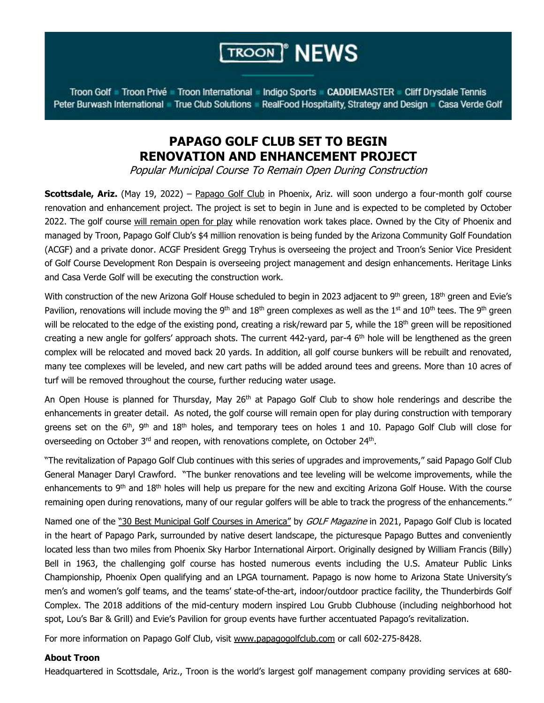## **TROON**<sup>®</sup> NEWS

Troon Golf Troon Privé Troon International Indigo Sports CADDIEMASTER Cliff Drysdale Tennis Peter Burwash International True Club Solutions RealFood Hospitality, Strategy and Design Casa Verde Golf

## **PAPAGO GOLF CLUB SET TO BEGIN RENOVATION AND ENHANCEMENT PROJECT**

Popular Municipal Course To Remain Open During Construction

**Scottsdale, Ariz.** (May 19, 2022) – [Papago](http://www.papagogolfclub.com/) Golf Club in Phoenix, Ariz. will soon undergo a four-month golf course renovation and enhancement project. The project is set to begin in June and is expected to be completed by October 2022. The golf course will remain open for play while renovation work takes place. Owned by the City of Phoenix and managed by Troon, Papago Golf Club's \$4 million renovation is being funded by the Arizona Community Golf Foundation (ACGF) and a private donor. ACGF President Gregg Tryhus is overseeing the project and Troon's Senior Vice President of Golf Course Development Ron Despain is overseeing project management and design enhancements. Heritage Links and Casa Verde Golf will be executing the construction work.

With construction of the new Arizona Golf House scheduled to begin in 2023 adjacent to 9<sup>th</sup> green, 18<sup>th</sup> green and Evie's Pavilion, renovations will include moving the 9<sup>th</sup> and 18<sup>th</sup> green complexes as well as the 1<sup>st</sup> and 10<sup>th</sup> tees. The 9<sup>th</sup> green will be relocated to the edge of the existing pond, creating a risk/reward par 5, while the 18<sup>th</sup> green will be repositioned creating a new angle for golfers' approach shots. The current 442-yard, par-4 6<sup>th</sup> hole will be lengthened as the green complex will be relocated and moved back 20 yards. In addition, all golf course bunkers will be rebuilt and renovated, many tee complexes will be leveled, and new cart paths will be added around tees and greens. More than 10 acres of turf will be removed throughout the course, further reducing water usage.

An Open House is planned for Thursday, May 26<sup>th</sup> at Papago Golf Club to show hole renderings and describe the enhancements in greater detail. As noted, the golf course will remain open for play during construction with temporary greens set on the 6<sup>th</sup>, 9<sup>th</sup> and 18<sup>th</sup> holes, and temporary tees on holes 1 and 10. Papago Golf Club will close for overseeding on October 3<sup>rd</sup> and reopen, with renovations complete, on October 24<sup>th</sup>.

"The revitalization of Papago Golf Club continues with this series of upgrades and improvements," said Papago Golf Club General Manager Daryl Crawford. "The bunker renovations and tee leveling will be welcome improvements, while the enhancements to 9<sup>th</sup> and 18<sup>th</sup> holes will help us prepare for the new and exciting Arizona Golf House. With the course remaining open during renovations, many of our regular golfers will be able to track the progress of the enhancements."

Named one of the "30 Best [Municipal](https://golf.com/travel/courses/americas-30-best-municipal-golf-courses) Golf Courses in America" by GOLF Magazine in 2021, Papago Golf Club is located in the heart of Papago Park, surrounded by native desert landscape, the picturesque Papago Buttes and conveniently located less than two miles from Phoenix Sky Harbor International Airport. Originally designed by William Francis (Billy) Bell in 1963, the challenging golf course has hosted numerous events including the U.S. Amateur Public Links Championship, Phoenix Open qualifying and an LPGA tournament. Papago is now home to Arizona State University's men's and women's golf teams, and the teams' state-of-the-art, indoor/outdoor practice facility, the Thunderbirds Golf Complex. The 2018 additions of the mid-century modern inspired Lou Grubb Clubhouse (including neighborhood hot spot, Lou's Bar & Grill) and Evie's Pavilion for group events have further accentuated Papago's revitalization.

For more information on Papago Golf Club, visit [www.papagogolfclub.com](http://www.papagogolfclub.com/) or call 602-275-8428.

## **About Troon**

Headquartered in Scottsdale, Ariz., Troon is the world's largest golf management company providing services at 680-